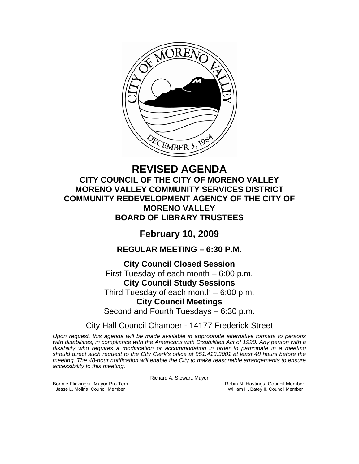

# **REVISED AGENDA CITY COUNCIL OF THE CITY OF MORENO VALLEY MORENO VALLEY COMMUNITY SERVICES DISTRICT COMMUNITY REDEVELOPMENT AGENCY OF THE CITY OF MORENO VALLEY BOARD OF LIBRARY TRUSTEES**

# **February 10, 2009**

**REGULAR MEETING – 6:30 P.M.** 

**City Council Closed Session**  First Tuesday of each month – 6:00 p.m. **City Council Study Sessions**  Third Tuesday of each month – 6:00 p.m. **City Council Meetings**  Second and Fourth Tuesdays – 6:30 p.m.

City Hall Council Chamber - 14177 Frederick Street

*Upon request, this agenda will be made available in appropriate alternative formats to persons*  with disabilities, in compliance with the Americans with Disabilities Act of 1990. Any person with a *disability who requires a modification or accommodation in order to participate in a meeting should direct such request to the City Clerk's office at 951.413.3001 at least 48 hours before the meeting. The 48-hour notification will enable the City to make reasonable arrangements to ensure accessibility to this meeting.* 

Richard A. Stewart, Mayor

Bonnie Flickinger, Mayor Pro Tem **Robin Accompany of the Science Council Member**<br>Jesse L. Molina, Council Member **New York Council Member**<br>William H. Batey II, Council Member William H. Batey II, Council Member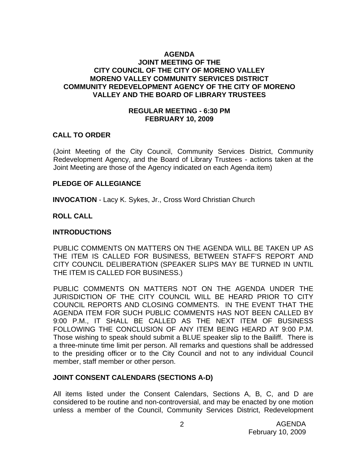### **AGENDA JOINT MEETING OF THE CITY COUNCIL OF THE CITY OF MORENO VALLEY MORENO VALLEY COMMUNITY SERVICES DISTRICT COMMUNITY REDEVELOPMENT AGENCY OF THE CITY OF MORENO VALLEY AND THE BOARD OF LIBRARY TRUSTEES**

#### **REGULAR MEETING - 6:30 PM FEBRUARY 10, 2009**

### **CALL TO ORDER**

(Joint Meeting of the City Council, Community Services District, Community Redevelopment Agency, and the Board of Library Trustees - actions taken at the Joint Meeting are those of the Agency indicated on each Agenda item)

#### **PLEDGE OF ALLEGIANCE**

**INVOCATION** - Lacy K. Sykes, Jr., Cross Word Christian Church

#### **ROLL CALL**

#### **INTRODUCTIONS**

PUBLIC COMMENTS ON MATTERS ON THE AGENDA WILL BE TAKEN UP AS THE ITEM IS CALLED FOR BUSINESS, BETWEEN STAFF'S REPORT AND CITY COUNCIL DELIBERATION (SPEAKER SLIPS MAY BE TURNED IN UNTIL THE ITEM IS CALLED FOR BUSINESS.)

PUBLIC COMMENTS ON MATTERS NOT ON THE AGENDA UNDER THE JURISDICTION OF THE CITY COUNCIL WILL BE HEARD PRIOR TO CITY COUNCIL REPORTS AND CLOSING COMMENTS. IN THE EVENT THAT THE AGENDA ITEM FOR SUCH PUBLIC COMMENTS HAS NOT BEEN CALLED BY 9:00 P.M., IT SHALL BE CALLED AS THE NEXT ITEM OF BUSINESS FOLLOWING THE CONCLUSION OF ANY ITEM BEING HEARD AT 9:00 P.M. Those wishing to speak should submit a BLUE speaker slip to the Bailiff. There is a three-minute time limit per person. All remarks and questions shall be addressed to the presiding officer or to the City Council and not to any individual Council member, staff member or other person.

#### **JOINT CONSENT CALENDARS (SECTIONS A-D)**

All items listed under the Consent Calendars, Sections A, B, C, and D are considered to be routine and non-controversial, and may be enacted by one motion unless a member of the Council, Community Services District, Redevelopment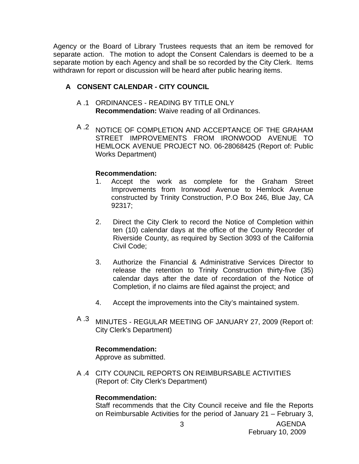Agency or the Board of Library Trustees requests that an item be removed for separate action. The motion to adopt the Consent Calendars is deemed to be a separate motion by each Agency and shall be so recorded by the City Clerk. Items withdrawn for report or discussion will be heard after public hearing items.

# **A CONSENT CALENDAR - CITY COUNCIL**

- A .1 ORDINANCES READING BY TITLE ONLY **Recommendation:** Waive reading of all Ordinances.
- A .2 NOTICE OF COMPLETION AND ACCEPTANCE OF THE GRAHAM STREET IMPROVEMENTS FROM IRONWOOD AVENUE TO HEMLOCK AVENUE PROJECT NO. 06-28068425 (Report of: Public Works Department)

# **Recommendation:**

- 1. Accept the work as complete for the Graham Street Improvements from Ironwood Avenue to Hemlock Avenue constructed by Trinity Construction, P.O Box 246, Blue Jay, CA 92317;
- 2. Direct the City Clerk to record the Notice of Completion within ten (10) calendar days at the office of the County Recorder of Riverside County, as required by Section 3093 of the California Civil Code;
- 3. Authorize the Financial & Administrative Services Director to release the retention to Trinity Construction thirty-five (35) calendar days after the date of recordation of the Notice of Completion, if no claims are filed against the project; and
- 4. Accept the improvements into the City's maintained system.
- A .3 MINUTES REGULAR MEETING OF JANUARY 27, 2009 (Report of: City Clerk's Department)

# **Recommendation:**

Approve as submitted.

A .4 CITY COUNCIL REPORTS ON REIMBURSABLE ACTIVITIES (Report of: City Clerk's Department)

### **Recommendation:**

Staff recommends that the City Council receive and file the Reports on Reimbursable Activities for the period of January 21 – February 3,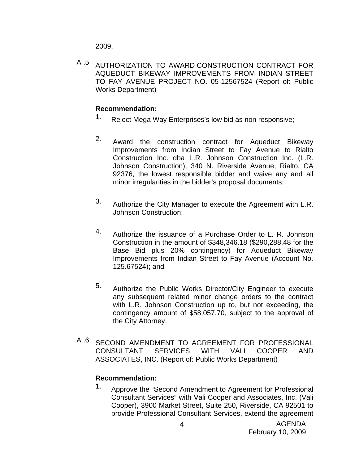2009.

A .5 AUTHORIZATION TO AWARD CONSTRUCTION CONTRACT FOR AQUEDUCT BIKEWAY IMPROVEMENTS FROM INDIAN STREET TO FAY AVENUE PROJECT NO. 05-12567524 (Report of: Public Works Department)

# **Recommendation:**

- 1. Reject Mega Way Enterprises's low bid as non responsive;
- 2. Award the construction contract for Aqueduct Bikeway Improvements from Indian Street to Fay Avenue to Rialto Construction Inc. dba L.R. Johnson Construction Inc. (L.R. Johnson Construction), 340 N. Riverside Avenue, Rialto, CA 92376, the lowest responsible bidder and waive any and all minor irregularities in the bidder's proposal documents;
- 3. Authorize the City Manager to execute the Agreement with L.R. Johnson Construction;
- 4. Authorize the issuance of a Purchase Order to L. R. Johnson Construction in the amount of \$348,346.18 (\$290,288.48 for the Base Bid plus 20% contingency) for Aqueduct Bikeway Improvements from Indian Street to Fay Avenue (Account No. 125.67524); and
- 5. Authorize the Public Works Director/City Engineer to execute any subsequent related minor change orders to the contract with L.R. Johnson Construction up to, but not exceeding, the contingency amount of \$58,057.70, subject to the approval of the City Attorney.
- A .6 SECOND AMENDMENT TO AGREEMENT FOR PROFESSIONAL CONSULTANT SERVICES WITH VALI COOPER AND ASSOCIATES, INC. (Report of: Public Works Department)

# **Recommendation:**

1. Approve the "Second Amendment to Agreement for Professional Consultant Services" with Vali Cooper and Associates, Inc. (Vali Cooper), 3900 Market Street, Suite 250, Riverside, CA 92501 to provide Professional Consultant Services, extend the agreement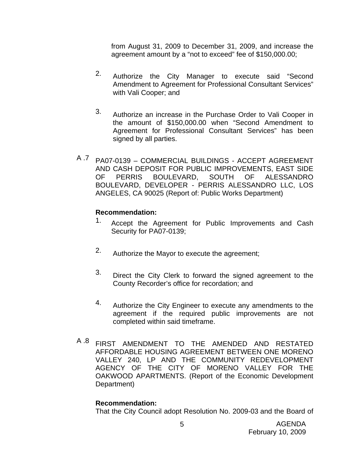from August 31, 2009 to December 31, 2009, and increase the agreement amount by a "not to exceed" fee of \$150,000.00;

- 2. Authorize the City Manager to execute said "Second Amendment to Agreement for Professional Consultant Services" with Vali Cooper; and
- 3. Authorize an increase in the Purchase Order to Vali Cooper in the amount of \$150,000.00 when "Second Amendment to Agreement for Professional Consultant Services" has been signed by all parties.
- A .7 PA07-0139 COMMERCIAL BUILDINGS ACCEPT AGREEMENT AND CASH DEPOSIT FOR PUBLIC IMPROVEMENTS, EAST SIDE OF PERRIS BOULEVARD, SOUTH OF ALESSANDRO BOULEVARD, DEVELOPER - PERRIS ALESSANDRO LLC, LOS ANGELES, CA 90025 (Report of: Public Works Department)

# **Recommendation:**

- 1. Accept the Agreement for Public Improvements and Cash Security for PA07-0139;
- 2. Authorize the Mayor to execute the agreement;
- 3. Direct the City Clerk to forward the signed agreement to the County Recorder's office for recordation; and
- 4. Authorize the City Engineer to execute any amendments to the agreement if the required public improvements are not completed within said timeframe.
- A .8 FIRST AMENDMENT TO THE AMENDED AND RESTATED AFFORDABLE HOUSING AGREEMENT BETWEEN ONE MORENO VALLEY 240, LP AND THE COMMUNITY REDEVELOPMENT AGENCY OF THE CITY OF MORENO VALLEY FOR THE OAKWOOD APARTMENTS. (Report of the Economic Development Department)

### **Recommendation:**

That the City Council adopt Resolution No. 2009-03 and the Board of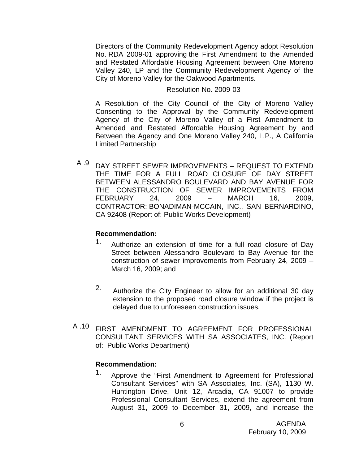Directors of the Community Redevelopment Agency adopt Resolution No. RDA 2009-01 approving the First Amendment to the Amended and Restated Affordable Housing Agreement between One Moreno Valley 240, LP and the Community Redevelopment Agency of the City of Moreno Valley for the Oakwood Apartments.

#### Resolution No. 2009-03

A Resolution of the City Council of the City of Moreno Valley Consenting to the Approval by the Community Redevelopment Agency of the City of Moreno Valley of a First Amendment to Amended and Restated Affordable Housing Agreement by and Between the Agency and One Moreno Valley 240, L.P., A California Limited Partnership

A .9 DAY STREET SEWER IMPROVEMENTS – REQUEST TO EXTEND THE TIME FOR A FULL ROAD CLOSURE OF DAY STREET BETWEEN ALESSANDRO BOULEVARD AND BAY AVENUE FOR THE CONSTRUCTION OF SEWER IMPROVEMENTS FROM FEBRUARY 24, 2009 – MARCH 16, 2009, CONTRACTOR: BONADIMAN-MCCAIN, INC., SAN BERNARDINO, CA 92408 (Report of: Public Works Development)

### **Recommendation:**

- 1. Authorize an extension of time for a full road closure of Day Street between Alessandro Boulevard to Bay Avenue for the construction of sewer improvements from February 24, 2009 – March 16, 2009; and
- 2. Authorize the City Engineer to allow for an additional 30 day extension to the proposed road closure window if the project is delayed due to unforeseen construction issues.
- A .10 FIRST AMENDMENT TO AGREEMENT FOR PROFESSIONAL CONSULTANT SERVICES WITH SA ASSOCIATES, INC. (Report of: Public Works Department)

### **Recommendation:**

1. Approve the "First Amendment to Agreement for Professional Consultant Services" with SA Associates, Inc. (SA), 1130 W. Huntington Drive, Unit 12, Arcadia, CA 91007 to provide Professional Consultant Services, extend the agreement from August 31, 2009 to December 31, 2009, and increase the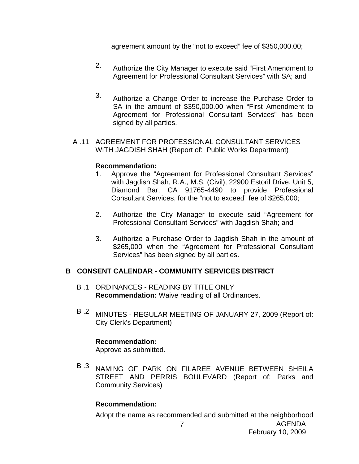agreement amount by the "not to exceed" fee of \$350,000.00;

- 2. Authorize the City Manager to execute said "First Amendment to Agreement for Professional Consultant Services" with SA; and
- 3. Authorize a Change Order to increase the Purchase Order to SA in the amount of \$350,000.00 when "First Amendment to Agreement for Professional Consultant Services" has been signed by all parties.
- A .11 AGREEMENT FOR PROFESSIONAL CONSULTANT SERVICES WITH JAGDISH SHAH (Report of: Public Works Department)

#### **Recommendation:**

- 1. Approve the "Agreement for Professional Consultant Services" with Jagdish Shah, R.A., M.S. (Civil), 22900 Estoril Drive, Unit 5, Diamond Bar, CA 91765-4490 to provide Professional Consultant Services, for the "not to exceed" fee of \$265,000;
- 2. Authorize the City Manager to execute said "Agreement for Professional Consultant Services" with Jagdish Shah; and
- 3. Authorize a Purchase Order to Jagdish Shah in the amount of \$265,000 when the "Agreement for Professional Consultant Services" has been signed by all parties.

### **B CONSENT CALENDAR - COMMUNITY SERVICES DISTRICT**

- B .1 ORDINANCES READING BY TITLE ONLY **Recommendation:** Waive reading of all Ordinances.
- B .2 MINUTES REGULAR MEETING OF JANUARY 27, 2009 (Report of: City Clerk's Department)

# **Recommendation:**

Approve as submitted.

B .3 NAMING OF PARK ON FILAREE AVENUE BETWEEN SHEILA STREET AND PERRIS BOULEVARD (Report of: Parks and Community Services)

### **Recommendation:**

Adopt the name as recommended and submitted at the neighborhood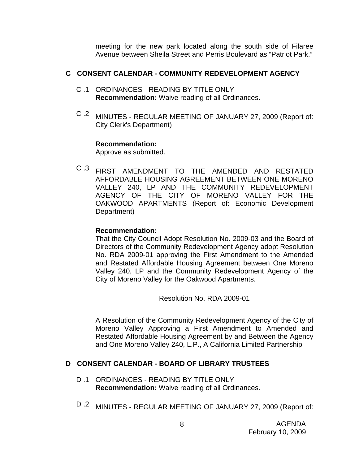meeting for the new park located along the south side of Filaree Avenue between Sheila Street and Perris Boulevard as "Patriot Park."

## **C CONSENT CALENDAR - COMMUNITY REDEVELOPMENT AGENCY**

- C .1 ORDINANCES READING BY TITLE ONLY **Recommendation:** Waive reading of all Ordinances.
- C .2 MINUTES REGULAR MEETING OF JANUARY 27, 2009 (Report of: City Clerk's Department)

### **Recommendation:**

Approve as submitted.

C .3 FIRST AMENDMENT TO THE AMENDED AND RESTATED AFFORDABLE HOUSING AGREEMENT BETWEEN ONE MORENO VALLEY 240, LP AND THE COMMUNITY REDEVELOPMENT AGENCY OF THE CITY OF MORENO VALLEY FOR THE OAKWOOD APARTMENTS (Report of: Economic Development Department)

## **Recommendation:**

That the City Council Adopt Resolution No. 2009-03 and the Board of Directors of the Community Redevelopment Agency adopt Resolution No. RDA 2009-01 approving the First Amendment to the Amended and Restated Affordable Housing Agreement between One Moreno Valley 240, LP and the Community Redevelopment Agency of the City of Moreno Valley for the Oakwood Apartments.

Resolution No. RDA 2009-01

A Resolution of the Community Redevelopment Agency of the City of Moreno Valley Approving a First Amendment to Amended and Restated Affordable Housing Agreement by and Between the Agency and One Moreno Valley 240, L.P., A California Limited Partnership

# **D CONSENT CALENDAR - BOARD OF LIBRARY TRUSTEES**

- D .1 ORDINANCES READING BY TITLE ONLY **Recommendation:** Waive reading of all Ordinances.
- D .2 MINUTES REGULAR MEETING OF JANUARY 27, 2009 (Report of: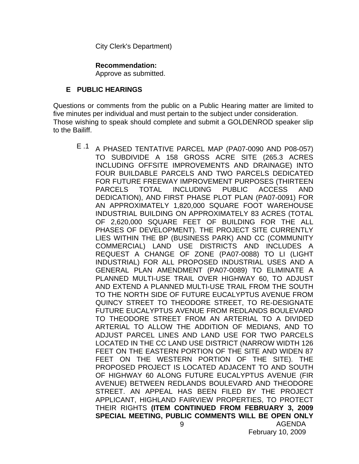City Clerk's Department)

## **Recommendation:**

Approve as submitted.

# **E PUBLIC HEARINGS**

Questions or comments from the public on a Public Hearing matter are limited to five minutes per individual and must pertain to the subject under consideration. Those wishing to speak should complete and submit a GOLDENROD speaker slip to the Bailiff.

AGENDA 9 E .1 A PHASED TENTATIVE PARCEL MAP (PA07-0090 AND P08-057) TO SUBDIVIDE A 158 GROSS ACRE SITE (265.3 ACRES INCLUDING OFFSITE IMPROVEMENTS AND DRAINAGE) INTO FOUR BUILDABLE PARCELS AND TWO PARCELS DEDICATED FOR FUTURE FREEWAY IMPROVEMENT PURPOSES (THIRTEEN PARCELS TOTAL INCLUDING PUBLIC ACCESS AND DEDICATION), AND FIRST PHASE PLOT PLAN (PA07-0091) FOR AN APPROXIMATELY 1,820,000 SQUARE FOOT WAREHOUSE INDUSTRIAL BUILDING ON APPROXIMATELY 83 ACRES (TOTAL OF 2,620,000 SQUARE FEET OF BUILDING FOR THE ALL PHASES OF DEVELOPMENT). THE PROJECT SITE CURRENTLY LIES WITHIN THE BP (BUSINESS PARK) AND CC (COMMUNITY COMMERCIAL) LAND USE DISTRICTS AND INCLUDES A REQUEST A CHANGE OF ZONE (PA07-0088) TO LI (LIGHT INDUSTRIAL) FOR ALL PROPOSED INDUSTRIAL USES AND A GENERAL PLAN AMENDMENT (PA07-0089) TO ELIMINATE A PLANNED MULTI-USE TRAIL OVER HIGHWAY 60, TO ADJUST AND EXTEND A PLANNED MULTI-USE TRAIL FROM THE SOUTH TO THE NORTH SIDE OF FUTURE EUCALYPTUS AVENUE FROM QUINCY STREET TO THEODORE STREET, TO RE-DESIGNATE FUTURE EUCALYPTUS AVENUE FROM REDLANDS BOULEVARD TO THEODORE STREET FROM AN ARTERIAL TO A DIVIDED ARTERIAL TO ALLOW THE ADDITION OF MEDIANS, AND TO ADJUST PARCEL LINES AND LAND USE FOR TWO PARCELS LOCATED IN THE CC LAND USE DISTRICT (NARROW WIDTH 126 FEET ON THE EASTERN PORTION OF THE SITE AND WIDEN 87 FEET ON THE WESTERN PORTION OF THE SITE). THE PROPOSED PROJECT IS LOCATED ADJACENT TO AND SOUTH OF HIGHWAY 60 ALONG FUTURE EUCALYPTUS AVENUE (FIR AVENUE) BETWEEN REDLANDS BOULEVARD AND THEODORE STREET. AN APPEAL HAS BEEN FILED BY THE PROJECT APPLICANT, HIGHLAND FAIRVIEW PROPERTIES, TO PROTECT THEIR RIGHTS **(ITEM CONTINUED FROM FEBRUARY 3, 2009 SPECIAL MEETING, PUBLIC COMMENTS WILL BE OPEN ONLY**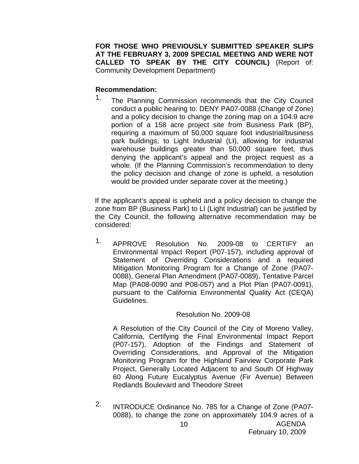**FOR THOSE WHO PREVIOUSLY SUBMITTED SPEAKER SLIPS AT THE FEBRUARY 3, 2009 SPECIAL MEETING AND WERE NOT CALLED TO SPEAK BY THE CITY COUNCIL)** (Report of: Community Development Department)

## **Recommendation:**

<sup>1.</sup> The Planning Commission recommends that the City Council conduct a public hearing to: DENY PA07-0088 (Change of Zone) and a policy decision to change the zoning map on a 104.9 acre portion of a 158 acre project site from Business Park (BP), requiring a maximum of 50,000 square foot industrial/business park buildings, to Light Industrial (LI), allowing for industrial warehouse buildings greater than 50,000 square feet, thus denying the applicant's appeal and the project request as a whole. (If the Planning Commission's recommendation to deny the policy decision and change of zone is upheld, a resolution would be provided under separate cover at the meeting.)

If the applicant's appeal is upheld and a policy decision to change the zone from BP (Business Park) to LI (Light Industrial) can be justified by the City Council, the following alternative recommendation may be considered:

1. APPROVE Resolution No. 2009-08 to CERTIFY an Environmental Impact Report (P07-157), including approval of Statement of Overriding Considerations and a required Mitigation Monitoring Program for a Change of Zone (PA07- 0088), General Plan Amendment (PA07-0089), Tentative Parcel Map (PA08-0090 and P08-057) and a Plot Plan (PA07-0091), pursuant to the California Environmental Quality Act (CEQA) Guidelines.

# Resolution No. 2009-08

A Resolution of the City Council of the City of Moreno Valley, California, Certifying the Final Environmental Impact Report (P07-157), Adoption of the Findings and Statement of Overriding Considerations, and Approval of the Mitigation Monitoring Program for the Highland Fairview Corporate Park Project, Generally Located Adjacent to and South Of Highway 60 Along Future Eucalyptus Avenue (Fir Avenue) Between Redlands Boulevard and Theodore Street

2. INTRODUCE Ordinance No. 785 for a Change of Zone (PA07- 0088), to change the zone on approximately 104.9 acres of a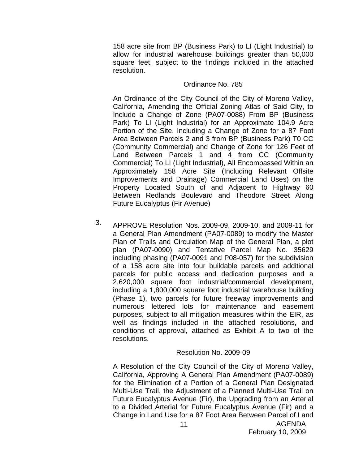158 acre site from BP (Business Park) to LI (Light Industrial) to allow for industrial warehouse buildings greater than 50,000 square feet, subject to the findings included in the attached resolution.

#### Ordinance No. 785

An Ordinance of the City Council of the City of Moreno Valley, California, Amending the Official Zoning Atlas of Said City, to Include a Change of Zone (PA07-0088) From BP (Business Park) To LI (Light Industrial) for an Approximate 104.9 Acre Portion of the Site, Including a Change of Zone for a 87 Foot Area Between Parcels 2 and 3 from BP (Business Park) T0 CC (Community Commercial) and Change of Zone for 126 Feet of Land Between Parcels 1 and 4 from CC (Community Commercial) To LI (Light Industrial), All Encompassed Within an Approximately 158 Acre Site (Including Relevant Offsite Improvements and Drainage) Commercial Land Uses) on the Property Located South of and Adjacent to Highway 60 Between Redlands Boulevard and Theodore Street Along Future Eucalyptus (Fir Avenue)

3. APPROVE Resolution Nos. 2009-09, 2009-10, and 2009-11 for a General Plan Amendment (PA07-0089) to modify the Master Plan of Trails and Circulation Map of the General Plan, a plot plan (PA07-0090) and Tentative Parcel Map No. 35629 including phasing (PA07-0091 and P08-057) for the subdivision of a 158 acre site into four buildable parcels and additional parcels for public access and dedication purposes and a 2,620,000 square foot industrial/commercial development, including a 1,800,000 square foot industrial warehouse building (Phase 1), two parcels for future freeway improvements and numerous lettered lots for maintenance and easement purposes, subject to all mitigation measures within the EIR, as well as findings included in the attached resolutions, and conditions of approval, attached as Exhibit A to two of the resolutions.

# Resolution No. 2009-09

A Resolution of the City Council of the City of Moreno Valley, California, Approving A General Plan Amendment (PA07-0089) for the Elimination of a Portion of a General Plan Designated Multi-Use Trail, the Adjustment of a Planned Multi-Use Trail on Future Eucalyptus Avenue (Fir), the Upgrading from an Arterial to a Divided Arterial for Future Eucalyptus Avenue (Fir) and a Change in Land Use for a 87 Foot Area Between Parcel of Land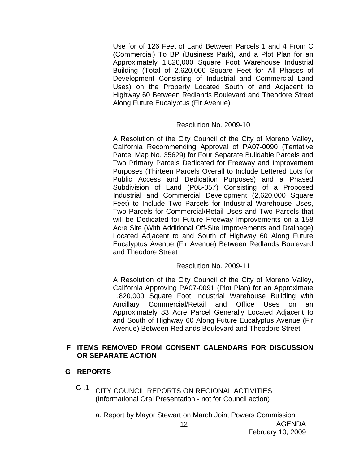Use for of 126 Feet of Land Between Parcels 1 and 4 From C (Commercial) To BP (Business Park), and a Plot Plan for an Approximately 1,820,000 Square Foot Warehouse Industrial Building (Total of 2,620,000 Square Feet for All Phases of Development Consisting of Industrial and Commercial Land Uses) on the Property Located South of and Adjacent to Highway 60 Between Redlands Boulevard and Theodore Street Along Future Eucalyptus (Fir Avenue)

### Resolution No. 2009-10

A Resolution of the City Council of the City of Moreno Valley, California Recommending Approval of PA07-0090 (Tentative Parcel Map No. 35629) for Four Separate Buildable Parcels and Two Primary Parcels Dedicated for Freeway and Improvement Purposes (Thirteen Parcels Overall to Include Lettered Lots for Public Access and Dedication Purposes) and a Phased Subdivision of Land (P08-057) Consisting of a Proposed Industrial and Commercial Development (2,620,000 Square Feet) to Include Two Parcels for Industrial Warehouse Uses, Two Parcels for Commercial/Retail Uses and Two Parcels that will be Dedicated for Future Freeway Improvements on a 158 Acre Site (With Additional Off-Site Improvements and Drainage) Located Adjacent to and South of Highway 60 Along Future Eucalyptus Avenue (Fir Avenue) Between Redlands Boulevard and Theodore Street

### Resolution No. 2009-11

A Resolution of the City Council of the City of Moreno Valley, California Approving PA07-0091 (Plot Plan) for an Approximate 1,820,000 Square Foot Industrial Warehouse Building with Ancillary Commercial/Retail and Office Uses on an Approximately 83 Acre Parcel Generally Located Adjacent to and South of Highway 60 Along Future Eucalyptus Avenue (Fir Avenue) Between Redlands Boulevard and Theodore Street

### **F ITEMS REMOVED FROM CONSENT CALENDARS FOR DISCUSSION OR SEPARATE ACTION**

### **G REPORTS**

- G .1 CITY COUNCIL REPORTS ON REGIONAL ACTIVITIES (Informational Oral Presentation - not for Council action)
	- a. Report by Mayor Stewart on March Joint Powers Commission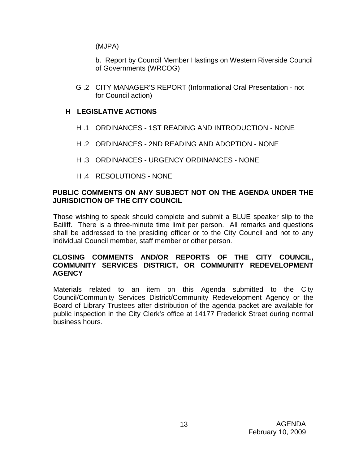(MJPA)

b. Report by Council Member Hastings on Western Riverside Council of Governments (WRCOG)

G .2 CITY MANAGER'S REPORT (Informational Oral Presentation - not for Council action)

# **H LEGISLATIVE ACTIONS**

- H .1 ORDINANCES 1ST READING AND INTRODUCTION NONE
- H .2 ORDINANCES 2ND READING AND ADOPTION NONE
- H .3 ORDINANCES URGENCY ORDINANCES NONE
- H .4 RESOLUTIONS NONE

## **PUBLIC COMMENTS ON ANY SUBJECT NOT ON THE AGENDA UNDER THE JURISDICTION OF THE CITY COUNCIL**

Those wishing to speak should complete and submit a BLUE speaker slip to the Bailiff. There is a three-minute time limit per person. All remarks and questions shall be addressed to the presiding officer or to the City Council and not to any individual Council member, staff member or other person.

### **CLOSING COMMENTS AND/OR REPORTS OF THE CITY COUNCIL, COMMUNITY SERVICES DISTRICT, OR COMMUNITY REDEVELOPMENT AGENCY**

Materials related to an item on this Agenda submitted to the City Council/Community Services District/Community Redevelopment Agency or the Board of Library Trustees after distribution of the agenda packet are available for public inspection in the City Clerk's office at 14177 Frederick Street during normal business hours.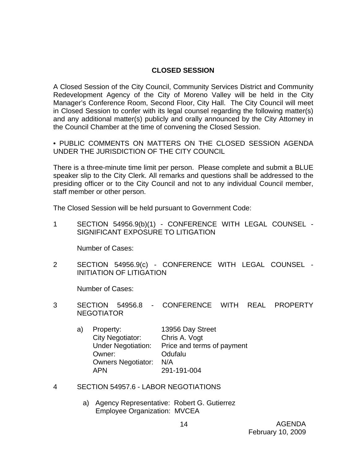## **CLOSED SESSION**

A Closed Session of the City Council, Community Services District and Community Redevelopment Agency of the City of Moreno Valley will be held in the City Manager's Conference Room, Second Floor, City Hall. The City Council will meet in Closed Session to confer with its legal counsel regarding the following matter(s) and any additional matter(s) publicly and orally announced by the City Attorney in the Council Chamber at the time of convening the Closed Session.

• PUBLIC COMMENTS ON MATTERS ON THE CLOSED SESSION AGENDA UNDER THE JURISDICTION OF THE CITY COUNCIL

There is a three-minute time limit per person. Please complete and submit a BLUE speaker slip to the City Clerk. All remarks and questions shall be addressed to the presiding officer or to the City Council and not to any individual Council member, staff member or other person.

The Closed Session will be held pursuant to Government Code:

1 SECTION 54956.9(b)(1) - CONFERENCE WITH LEGAL COUNSEL - SIGNIFICANT EXPOSURE TO LITIGATION

Number of Cases:

2 SECTION 54956.9(c) - CONFERENCE WITH LEGAL COUNSEL - INITIATION OF LITIGATION

Number of Cases:

- 3 SECTION 54956.8 CONFERENCE WITH REAL PROPERTY NEGOTIATOR
	- a) Property: 13956 Day Street City Negotiator: Chris A. Vogt Under Negotiation: Price and terms of payment Owner: Odufalu Owners Negotiator: N/A APN 291-191-004
- 4 SECTION 54957.6 LABOR NEGOTIATIONS
	- a) Agency Representative: Robert G. Gutierrez Employee Organization: MVCEA